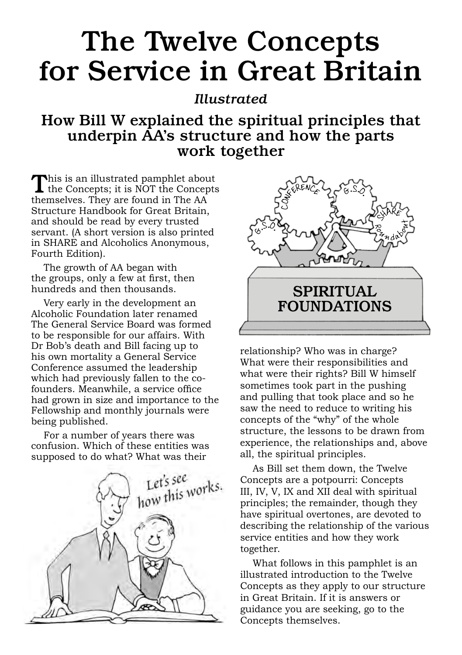### The Twelve Concepts for Service in Great Britain

### *Illustrated*

### How Bill W explained the spiritual principles that underpin AA's structure and how the parts work together

This is an illustrated pamphlet about<br>the Concepts; it is NOT the Concepts themselves. They are found in The AA Structure Handbook for Great Britain, and should be read by every trusted servant. (A short version is also printed in SHARE and Alcoholics Anonymous, Fourth Edition).

The growth of AA began with the groups, only a few at first, then hundreds and then thousands.

Very early in the development an Alcoholic Foundation later renamed The General Service Board was formed to be responsible for our affairs. With Dr Bob's death and Bill facing up to his own mortality a General Service Conference assumed the leadership which had previously fallen to the cofounders. Meanwhile, a service office had grown in size and importance to the Fellowship and monthly journals were being published.

For a number of years there was confusion. Which of these entities was supposed to do what? What was their





relationship? Who was in charge? What were their responsibilities and what were their rights? Bill W himself sometimes took part in the pushing and pulling that took place and so he saw the need to reduce to writing his concepts of the "why" of the whole structure, the lessons to be drawn from experience, the relationships and, above all, the spiritual principles.

As Bill set them down, the Twelve Concepts are a potpourri: Concepts III, IV, V, IX and XII deal with spiritual principles; the remainder, though they have spiritual overtones, are devoted to describing the relationship of the various service entities and how they work together.

What follows in this pamphlet is an illustrated introduction to the Twelve Concepts as they apply to our structure in Great Britain. If it is answers or guidance you are seeking, go to the Concepts themselves.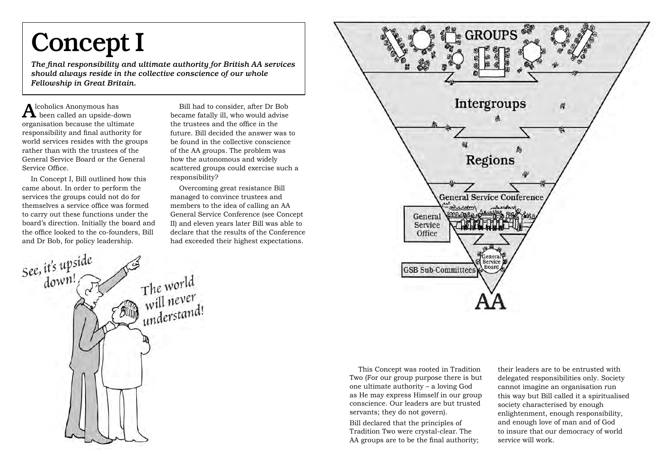## Concept I

*The final responsibility and ultimate authority for British AA services should always reside in the collective conscience of our whole Fellowship in Great Britain.*

 ${\bf A}$ lcoholics Anonymous has been called an upside-down organisation because the ultimate responsibility and final authority for world services resides with the groups rather than with the trustees of the General Service Board or the General Service Office.

In Concept I, Bill outlined how this came about. In order to perform the services the groups could not do for themselves a service office was formed to carry out these functions under the board's direction. Initially the board and the office looked to the co-founders, Bill and Dr Bob, for policy leadership.

Bill had to consider, after Dr Bob became fatally ill, who would advise the trustees and the office in the future. Bill decided the answer was to be found in the collective conscience of the AA groups. The problem was how the autonomous and widely scattered groups could exercise such a responsibility?

Overcoming great resistance Bill managed to convince trustees and members to the idea of calling an AA General Service Conference (see Concept II) and eleven years later Bill was able to declare that the results of the Conference had exceeded their highest expectations.





This Concept was rooted in Tradition Two (For our group purpose there is but one ultimate authority – a loving God as He may express Himself in our group conscience. Our leaders are but trusted servants; they do not govern).

Bill declared that the principles of Tradition Two were crystal-clear. The AA groups are to be the final authority;

their leaders are to be entrusted with delegated responsibilities only. Society cannot imagine an organisation run this way but Bill called it a spiritualised society characterised by enough enlightenment, enough responsibility, and enough love of man and of God to insure that our democracy of world service will work.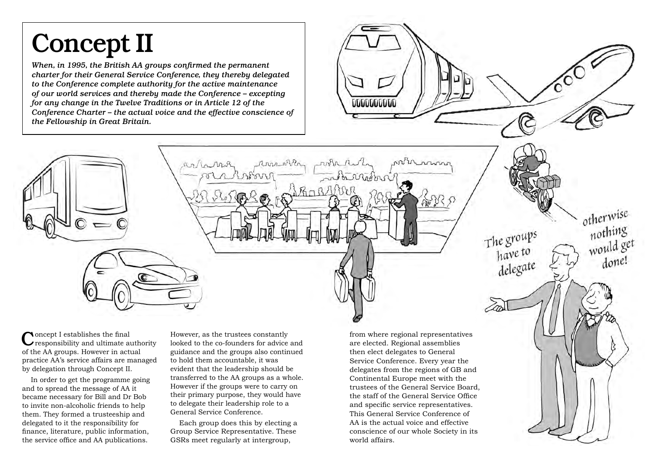# Concept II

*When, in 1995, the British AA groups confirmed the permanent charter for their General Service Conference, they thereby delegated to the Conference complete authority for the active maintenance of our world services and thereby made the Conference – excepting for any change in the Twelve Traditions or in Article 12 of the Conference Charter – the actual voice and the effective conscience of the Fellowship in Great Britain.*

Rolla Mis

Concept I establishes the final responsibility and ultimate authority of the AA groups. However in actual practice AA's service affairs are managed by delegation through Concept II.

In order to get the programme going and to spread the message of AA it became necessary for Bill and Dr Bob to invite non-alcoholic friends to help them. They formed a trusteeship and delegated to it the responsibility for finance, literature, public information, the service office and AA publications.

However, as the trustees constantly looked to the co-founders for advice and guidance and the groups also continued to hold them accountable, it was evident that the leadership should be transferred to the AA groups as a whole. However if the groups were to carry on their primary purpose, they would have to delegate their leadership role to a General Service Conference.

Each group does this by electing a Group Service Representative. These GSRs meet regularly at intergroup,

from where regional representatives are elected. Regional assemblies then elect delegates to General Service Conference. Every year the delegates from the regions of GB and Continental Europe meet with the trustees of the General Service Board, the staff of the General Service Office and specific service representatives. This General Service Conference of AA is the actual voice and effective conscience of our whole Society in its world affairs.

otherwise

The groups<br>have to

delegate

nothing<br>would get

done!

**UUUUUUUUU**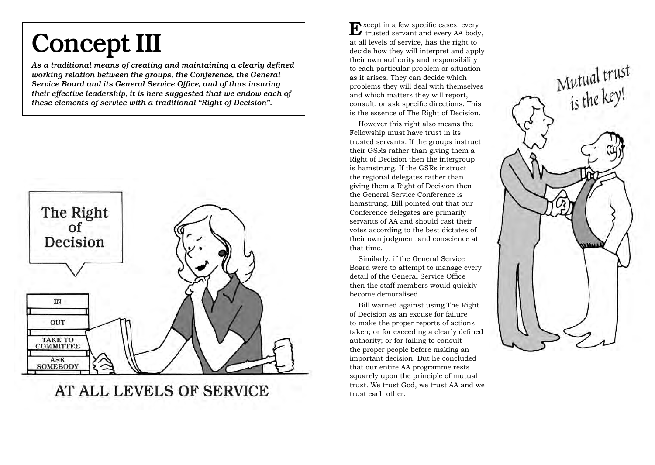## Concept III

*As a traditional means of creating and maintaining a clearly defined working relation between the groups, the Conference, the General Service Board and its General Service Office, and of thus insuring their effective leadership, it is here suggested that we endow each of these elements of service with a traditional "Right of Decision".*



AT ALL LEVELS OF SERVICE

Except in a few specific cases, every trusted servant and every AA body, at all levels of service, has the right to decide how they will interpret and apply their own authority and responsibility to each particular problem or situation as it arises. They can decide which problems they will deal with themselves and which matters they will report, consult, or ask specific directions. This is the essence of The Right of Decision.

However this right also means the Fellowship must have trust in its trusted servants. If the groups instruct their GSRs rather than giving them a Right of Decision then the intergroup is hamstrung. If the GSRs instruct the regional delegates rather than giving them a Right of Decision then the General Service Conference is hamstrung. Bill pointed out that our Conference delegates are primarily servants of AA and should cast their votes according to the best dictates of their own judgment and conscience at that time.

Similarly, if the General Service Board were to attempt to manage every detail of the General Service Office then the staff members would quickly become demoralised.

Bill warned against using The Right of Decision as an excuse for failure to make the proper reports of actions taken; or for exceeding a clearly defined authority; or for failing to consult the proper people before making an important decision. But he concluded that our entire AA programme rests squarely upon the principle of mutual trust. We trust God, we trust AA and we trust each other.

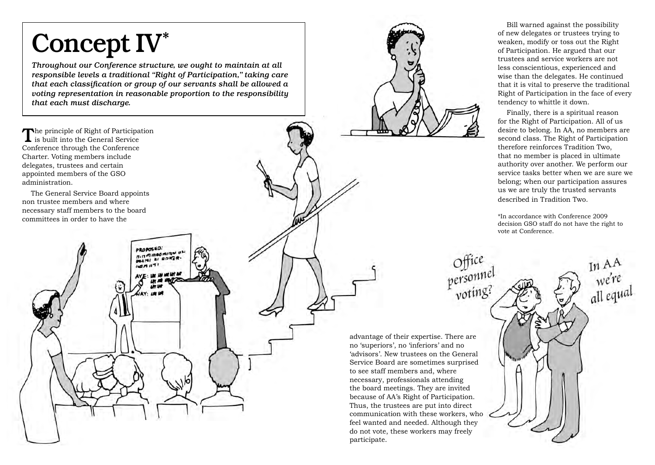# Concept IV\*

*Throughout our Conference structure, we ought to maintain at all responsible levels a traditional "Right of Participation," taking care that each classification or group of our servants shall be allowed a voting representation in reasonable proportion to the responsibility that each must discharge.*

> PROPOSED. PROPOSED.<br>BUT SUBORING U

The principle of Right of Participation<br>
is built into the General Service Conference through the Conference Charter. Voting members include delegates, trustees and certain appointed members of the GSO administration.

The General Service Board appoints non trustee members and where necessary staff members to the board committees in order to have the

Bill warned against the possibility of new delegates or trustees trying to weaken, modify or toss out the Right of Participation. He argued that our trustees and service workers are not less conscientious, experienced and wise than the delegates. He continued that it is vital to preserve the traditional Right of Participation in the face of every tendency to whittle it down.

Finally, there is a spiritual reason for the Right of Participation. All of us desire to belong. In AA, no members are second class. The Right of Participation therefore reinforces Tradition Two, that no member is placed in ultimate authority over another. We perform our service tasks better when we are sure we belong; when our participation assures us we are truly the trusted servants described in Tradition Two.

\*In accordance with Conference 2009 decision GSO staff do not have the right to vote at Conference.

In AA<br>we're<br>all equal

advantage of their expertise. There are no 'superiors', no 'inferiors' and no 'advisors'. New trustees on the General Service Board are sometimes surprised to see staff members and, where necessary, professionals attending the board meetings. They are invited because of AA's Right of Participation. Thus, the trustees are put into direct communication with these workers, who feel wanted and needed. Although they do not vote, these workers may freely participate.

Office<br>personnel<br>voting?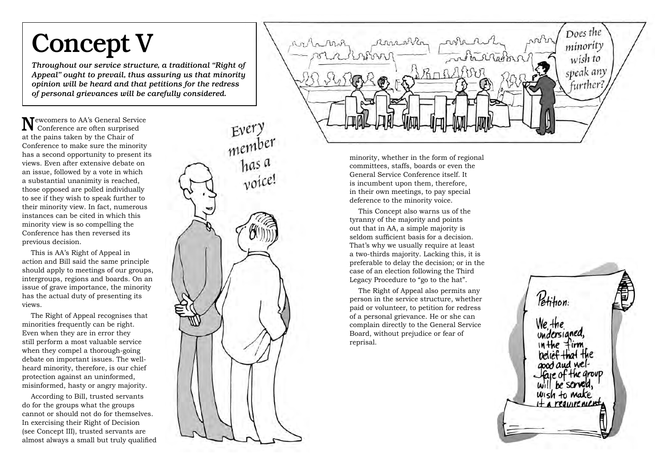### Concept V

*Throughout our service structure, a traditional "Right of Appeal" ought to prevail, thus assuring us that minority opinion will be heard and that petitions for the redress of personal grievances will be carefully considered.*

Newcomers to AA's General Service Conference are often surprised at the pains taken by the Chair of Conference to make sure the minority has a second opportunity to present its views. Even after extensive debate on an issue, followed by a vote in which a substantial unanimity is reached, those opposed are polled individually to see if they wish to speak further to their minority view. In fact, numerous instances can be cited in which this minority view is so compelling the Conference has then reversed its previous decision.

This is AA's Right of Appeal in action and Bill said the same principle should apply to meetings of our groups, intergroups, regions and boards. On an issue of grave importance, the minority has the actual duty of presenting its views.

The Right of Appeal recognises that minorities frequently can be right. Even when they are in error they still perform a most valuable service when they compel a thorough-going debate on important issues. The wellheard minority, therefore, is our chief protection against an uninformed, misinformed, hasty or angry majority.

According to Bill, trusted servants do for the groups what the groups cannot or should not do for themselves. In exercising their Right of Decision (see Concept III), trusted servants are almost always a small but truly qualified



Does the anna mar minority archivinghan wish to speak any further.

> minority, whether in the form of regional committees, staffs, boards or even the General Service Conference itself. It is incumbent upon them, therefore, in their own meetings, to pay special deference to the minority voice.

This Concept also warns us of the tyranny of the majority and points out that in AA, a simple majority is seldom sufficient basis for a decision. That's why we usually require at least a two-thirds majority. Lacking this, it is preferable to delay the decision; or in the case of an election following the Third Legacy Procedure to "go to the hat".

The Right of Appeal also permits any person in the service structure, whether paid or volunteer, to petition for redress of a personal grievance. He or she can complain directly to the General Service Board, without prejudice or fear of reprisal.

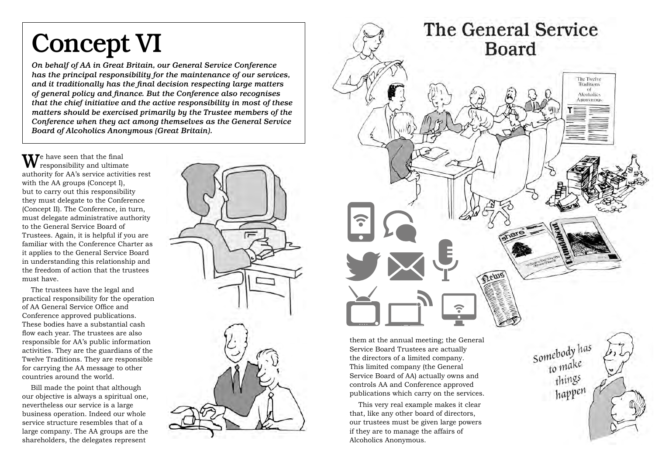## Concept VI

*On behalf of AA in Great Britain, our General Service Conference has the principal responsibility for the maintenance of our services, and it traditionally has the final decision respecting large matters of general policy and finance. But the Conference also recognises that the chief initiative and the active responsibility in most of these matters should be exercised primarily by the Trustee members of the Conference when they act among themselves as the General Service Board of Alcoholics Anonymous (Great Britain).*

 $\mathbf{W}$ e have seen that the final responsibility and ultimate authority for AA's service activities rest with the AA groups (Concept I), but to carry out this responsibility they must delegate to the Conference (Concept II). The Conference, in turn, must delegate administrative authority to the General Service Board of Trustees. Again, it is helpful if you are familiar with the Conference Charter as it applies to the General Service Board in understanding this relationship and the freedom of action that the trustees must have.

The trustees have the legal and practical responsibility for the operation of AA General Service Office and Conference approved publications. These bodies have a substantial cash flow each year. The trustees are also responsible for AA's public information activities. They are the guardians of the Twelve Traditions. They are responsible for carrying the AA message to other countries around the world.

Bill made the point that although our objective is always a spiritual one, nevertheless our service is a large business operation. Indeed our whole service structure resembles that of a large company. The AA groups are the shareholders, the delegates represent





them at the annual meeting; the General Service Board Trustees are actually the directors of a limited company. This limited company (the General Service Board of AA) actually owns and controls AA and Conference approved publications which carry on the services.

This very real example makes it clear that, like any other board of directors, our trustees must be given large powers if they are to manage the affairs of Alcoholics Anonymous.

Somebody has to make things happen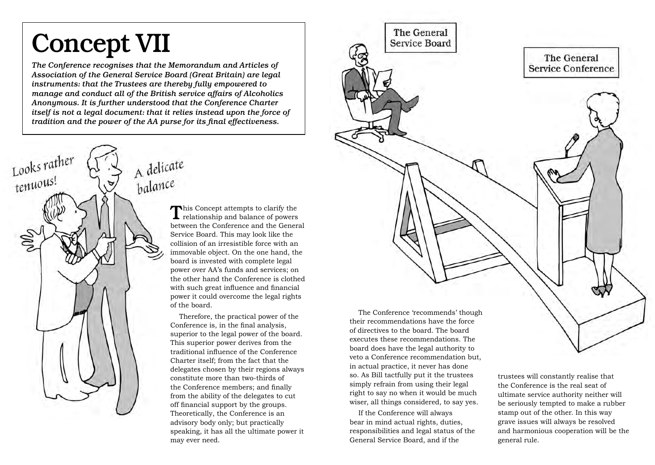### Concept VII

*The Conference recognises that the Memorandum and Articles of Association of the General Service Board (Great Britain) are legal instruments: that the Trustees are thereby fully empowered to manage and conduct all of the British service affairs of Alcoholics Anonymous. It is further understood that the Conference Charter itself is not a legal document: that it relies instead upon the force of tradition and the power of the AA purse for its final effectiveness.*



This Concept attempts to clarify the **L** relationship and balance of powers between the Conference and the General Service Board. This may look like the collision of an irresistible force with an immovable object. On the one hand, the board is invested with complete legal power over AA's funds and services; on the other hand the Conference is clothed with such great influence and financial power it could overcome the legal rights of the board.

Therefore, the practical power of the Conference is, in the final analysis, superior to the legal power of the board. This superior power derives from the traditional influence of the Conference Charter itself; from the fact that the delegates chosen by their regions always constitute more than two-thirds of the Conference members; and finally from the ability of the delegates to cut off financial support by the groups. Theoretically, the Conference is an advisory body only; but practically speaking, it has all the ultimate power it may ever need.



veto a Conference recommendation but, in actual practice, it never has done so. As Bill tactfully put it the trustees simply refrain from using their legal right to say no when it would be much wiser, all things considered, to say yes.

If the Conference will always bear in mind actual rights, duties, responsibilities and legal status of the General Service Board, and if the

trustees will constantly realise that the Conference is the real seat of ultimate service authority neither will be seriously tempted to make a rubber stamp out of the other. In this way grave issues will always be resolved and harmonious cooperation will be the general rule.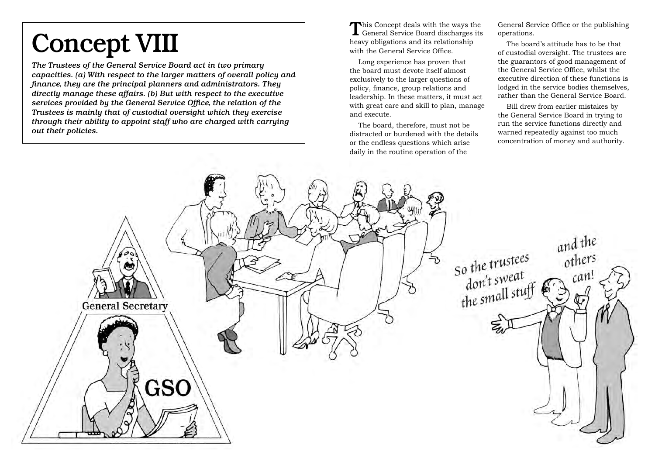# Concept VIII

*The Trustees of the General Service Board act in two primary capacities. (a) With respect to the larger matters of overall policy and finance, they are the principal planners and administrators. They directly manage these affairs. (b) But with respect to the executive services provided by the General Service Office, the relation of the Trustees is mainly that of custodial oversight which they exercise through their ability to appoint staff who are charged with carrying out their policies.*

This Concept deals with the ways the General Service Board discharges its heavy obligations and its relationship with the General Service Office.

Long experience has proven that the board must devote itself almost exclusively to the larger questions of policy, finance, group relations and leadership. In these matters, it must act with great care and skill to plan, manage and execute.

The board, therefore, must not be distracted or burdened with the details or the endless questions which arise daily in the routine operation of the

General Service Office or the publishing operations.

The board's attitude has to be that of custodial oversight. The trustees are the guarantors of good management of the General Service Office, whilst the executive direction of these functions is lodged in the service bodies themselves, rather than the General Service Board.

Bill drew from earlier mistakes by the General Service Board in trying to run the service functions directly and warned repeatedly against too much concentration of money and authority.

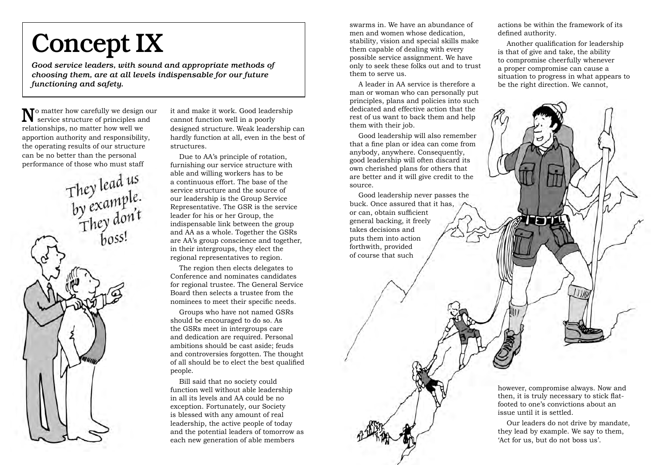## Concept IX

*Good service leaders, with sound and appropriate methods of choosing them, are at all levels indispensable for our future functioning and safety.*

 $\mathbf N$  matter how carefully we design our service structure of principles and relationships, no matter how well we apportion authority and responsibility, the operating results of our structure can be no better than the personal

performance of those who must staff<br>
They lead us<br>
by example.<br>
They don't<br>
poss!

it and make it work. Good leadership cannot function well in a poorly designed structure. Weak leadership can hardly function at all, even in the best of structures.

Due to AA's principle of rotation, furnishing our service structure with able and willing workers has to be a continuous effort. The base of the service structure and the source of our leadership is the Group Service Representative. The GSR is the service leader for his or her Group, the indispensable link between the group and AA as a whole. Together the GSRs are AA's group conscience and together, in their intergroups, they elect the regional representatives to region.

The region then elects delegates to Conference and nominates candidates for regional trustee. The General Service Board then selects a trustee from the nominees to meet their specific needs.

Groups who have not named GSRs should be encouraged to do so. As the GSRs meet in intergroups care and dedication are required. Personal ambitions should be cast aside; feuds and controversies forgotten. The thought of all should be to elect the best qualified people.

Bill said that no society could function well without able leadership in all its levels and AA could be no exception. Fortunately, our Society is blessed with any amount of real leadership, the active people of today and the potential leaders of tomorrow as each new generation of able members

swarms in. We have an abundance of men and women whose dedication, stability, vision and special skills make them capable of dealing with every possible service assignment. We have only to seek these folks out and to trust them to serve us.

A leader in AA service is therefore a man or woman who can personally put principles, plans and policies into such dedicated and effective action that the rest of us want to back them and help them with their job.

Good leadership will also remember that a fine plan or idea can come from anybody, anywhere. Consequently, good leadership will often discard its own cherished plans for others that are better and it will give credit to the source.

Good leadership never passes the buck. Once assured that it has, or can, obtain sufficient general backing, it freely takes decisions and puts them into action forthwith, provided of course that such

actions be within the framework of its defined authority.

Another qualification for leadership is that of give and take, the ability to compromise cheerfully whenever a proper compromise can cause a situation to progress in what appears to be the right direction. We cannot,



Our leaders do not drive by mandate, they lead by example. We say to them, 'Act for us, but do not boss us'.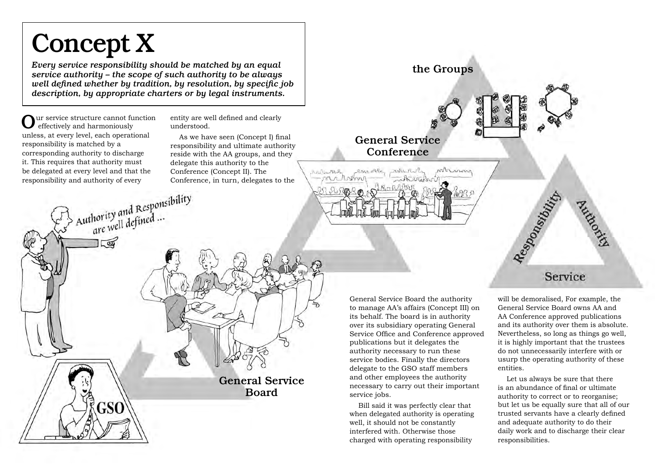## Concept X

*Every service responsibility should be matched by an equal service authority – the scope of such authority to be always well defined whether by tradition, by resolution, by specific job description, by appropriate charters or by legal instruments.*

Authority and Responsibility<br>are well defined ...

 $\sqrt{2}$ 

GSO

ur service structure cannot function effectively and harmoniously unless, at every level, each operational responsibility is matched by a corresponding authority to discharge it. This requires that authority must be delegated at every level and that the responsibility and authority of every

entity are well defined and clearly understood.

As we have seen (Concept I) final responsibility and ultimate authority reside with the AA groups, and they delegate this authority to the Conference (Concept II). The Conference, in turn, delegates to the

> General Service Board

General Service Board the authority to manage AA's affairs (Concept III) on its behalf. The board is in authority over its subsidiary operating General Service Office and Conference approved publications but it delegates the authority necessary to run these service bodies. Finally the directors delegate to the GSO staff members and other employees the authority necessary to carry out their important service jobs.

General Service Conference

where

arn other

Animal

Andra MAR

the Groups

whenown

Bill said it was perfectly clear that when delegated authority is operating well, it should not be constantly interfered with. Otherwise those charged with operating responsibility

will be demoralised, For example, the General Service Board owns AA and AA Conference approved publications and its authority over them is absolute. Nevertheless, so long as things go well, it is highly important that the trustees do not unnecessarily interfere with or usurp the operating authority of these entities.

Service

Audions

Responsibility

Let us always be sure that there is an abundance of final or ultimate authority to correct or to reorganise; but let us be equally sure that all of our trusted servants have a clearly defined and adequate authority to do their daily work and to discharge their clear responsibilities.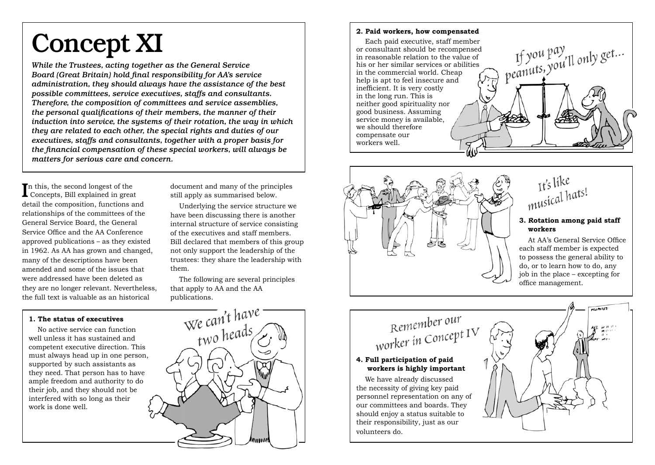## Concept XI

*While the Trustees, acting together as the General Service Board (Great Britain) hold final responsibility for AA's service administration, they should always have the assistance of the best possible committees, service executives, staffs and consultants. Therefore, the composition of committees and service assemblies, the personal qualifications of their members, the manner of their induction into service, the systems of their rotation, the way in which they are related to each other, the special rights and duties of our executives, staffs and consultants, together with a proper basis for the financial compensation of these special workers, will always be matters for serious care and concern.*

In this, the second longest of the<br>Concepts, Bill explained in great **T**n this, the second longest of the detail the composition, functions and relationships of the committees of the General Service Board, the General Service Office and the AA Conference approved publications – as they existed in 1962. As AA has grown and changed, many of the descriptions have been amended and some of the issues that were addressed have been deleted as they are no longer relevant. Nevertheless, the full text is valuable as an historical

**1. The status of executives**

work is done well.

document and many of the principles still apply as summarised below.

Underlying the service structure we have been discussing there is another internal structure of service consisting of the executives and staff members. Bill declared that members of this group not only support the leadership of the trustees: they share the leadership with them.

The following are several principles that apply to AA and the AA publications.



#### **2. Paid workers, how compensated**

If you pay<br>} peanuts, you'll only get... Each paid executive, staff member or consultant should be recompensed in reasonable relation to the value of his or her similar services or abilities in the commercial world. Cheap help is apt to feel insecure and inefficient. It is very costly in the long run. This is neither good spirituality nor good business. Assuming service money is available, we should therefore compensate our workers well.



It's like It's like<br>musical hats!

#### **3. Rotation among paid staff workers**

At AA's General Service Office each staff member is expected to possess the general ability to do, or to learn how to do, any job in the place – excepting for office management.

### Remember our Remember<br>worker in Concept IV

#### **4. Full participation of paid workers is highly important**

We have already discussed the necessity of giving key paid personnel representation on any of our committees and boards. They should enjoy a status suitable to their responsibility, just as our volunteers do.

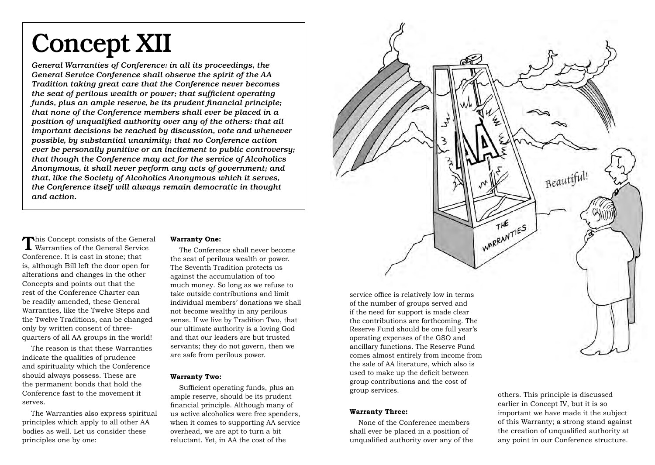### Concept XII

*General Warranties of Conference: in all its proceedings, the General Service Conference shall observe the spirit of the AA Tradition taking great care that the Conference never becomes the seat of perilous wealth or power; that sufficient operating funds, plus an ample reserve, be its prudent financial principle; that none of the Conference members shall ever be placed in a position of unqualified authority over any of the others: that all important decisions be reached by discussion, vote and whenever possible, by substantial unanimity; that no Conference action ever be personally punitive or an incitement to public controversy; that though the Conference may act for the service of Alcoholics Anonymous, it shall never perform any acts of government; and that, like the Society of Alcoholics Anonymous which it serves, the Conference itself will always remain democratic in thought and action.*

This Concept consists of the General Warranties of the General Service Conference. It is cast in stone; that is, although Bill left the door open for alterations and changes in the other Concepts and points out that the rest of the Conference Charter can be readily amended, these General Warranties, like the Twelve Steps and the Twelve Traditions, can be changed only by written consent of threequarters of all AA groups in the world!

The reason is that these Warranties indicate the qualities of prudence and spirituality which the Conference should always possess. These are the permanent bonds that hold the Conference fast to the movement it serves.

The Warranties also express spiritual principles which apply to all other AA bodies as well. Let us consider these principles one by one:

#### **Warranty One:**

The Conference shall never become the seat of perilous wealth or power. The Seventh Tradition protects us against the accumulation of too much money. So long as we refuse to take outside contributions and limit individual members' donations we shall not become wealthy in any perilous sense. If we live by Tradition Two, that our ultimate authority is a loving God and that our leaders are but trusted servants; they do not govern, then we are safe from perilous power.

#### **Warranty Two:**

Sufficient operating funds, plus an ample reserve, should be its prudent financial principle. Although many of us active alcoholics were free spenders, when it comes to supporting AA service overhead, we are apt to turn a bit reluctant. Yet, in AA the cost of the



the sale of AA literature, which also is used to make up the deficit between group contributions and the cost of group services.

#### **Warranty Three:**

None of the Conference members shall ever be placed in a position of unqualified authority over any of the others. This principle is discussed earlier in Concept IV, but it is so important we have made it the subject of this Warranty; a strong stand against the creation of unqualified authority at any point in our Conference structure.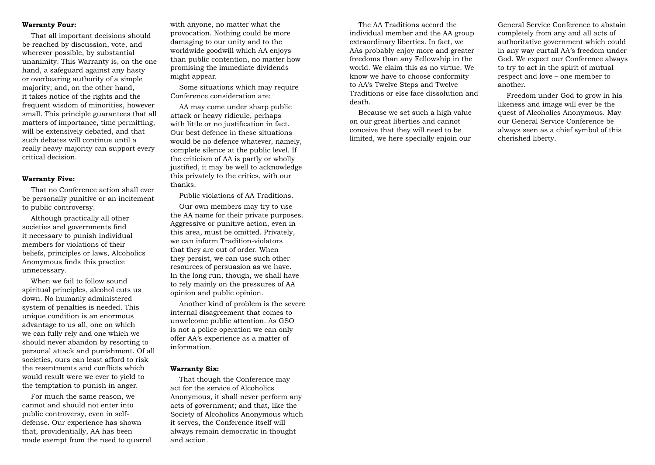#### **Warranty Four:**

That all important decisions should be reached by discussion, vote, and wherever possible, by substantial unanimity. This Warranty is, on the one hand, a safeguard against any hasty or overbearing authority of a simple majority; and, on the other hand, it takes notice of the rights and the frequent wisdom of minorities, however small. This principle guarantees that all matters of importance, time permitting, will be extensively debated, and that such debates will continue until a really heavy majority can support every critical decision.

#### **Warranty Five:**

That no Conference action shall ever be personally punitive or an incitement to public controversy.

Although practically all other societies and governments find it necessary to punish individual members for violations of their beliefs, principles or laws, Alcoholics Anonymous finds this practice unnecessary.

When we fail to follow sound spiritual principles, alcohol cuts us down. No humanly administered system of penalties is needed. This unique condition is an enormous advantage to us all, one on which we can fully rely and one which we should never abandon by resorting to personal attack and punishment. Of all societies, ours can least afford to risk the resentments and conflicts which would result were we ever to yield to the temptation to punish in anger.

For much the same reason, we cannot and should not enter into public controversy, even in selfdefense. Our experience has shown that, providentially, AA has been made exempt from the need to quarrel

with anyone, no matter what the provocation. Nothing could be more damaging to our unity and to the worldwide goodwill which AA enjoys than public contention, no matter how promising the immediate dividends might appear.

Some situations which may require Conference consideration are:

AA may come under sharp public attack or heavy ridicule, perhaps with little or no justification in fact. Our best defence in these situations would be no defence whatever, namely, complete silence at the public level. If the criticism of AA is partly or wholly justified, it may be well to acknowledge this privately to the critics, with our thanks.

Public violations of AA Traditions.

Our own members may try to use the AA name for their private purposes. Aggressive or punitive action, even in this area, must be omitted. Privately, we can inform Tradition-violators that they are out of order. When they persist, we can use such other resources of persuasion as we have. In the long run, though, we shall have to rely mainly on the pressures of AA opinion and public opinion.

Another kind of problem is the severe internal disagreement that comes to unwelcome public attention. As GSO is not a police operation we can only offer AA's experience as a matter of information.

#### **Warranty Six:**

That though the Conference may act for the service of Alcoholics Anonymous, it shall never perform any acts of government; and that, like the Society of Alcoholics Anonymous which it serves, the Conference itself will always remain democratic in thought and action.

The AA Traditions accord the individual member and the AA group extraordinary liberties. In fact, we AAs probably enjoy more and greater freedoms than any Fellowship in the world. We claim this as no virtue. We know we have to choose conformity to AA's Twelve Steps and Twelve Traditions or else face dissolution and death.

Because we set such a high value on our great liberties and cannot conceive that they will need to be limited, we here specially enjoin our

General Service Conference to abstain completely from any and all acts of authoritative government which could in any way curtail AA's freedom under God. We expect our Conference always to try to act in the spirit of mutual respect and love – one member to another.

Freedom under God to grow in his likeness and image will ever be the quest of Alcoholics Anonymous. May our General Service Conference be always seen as a chief symbol of this cherished liberty.